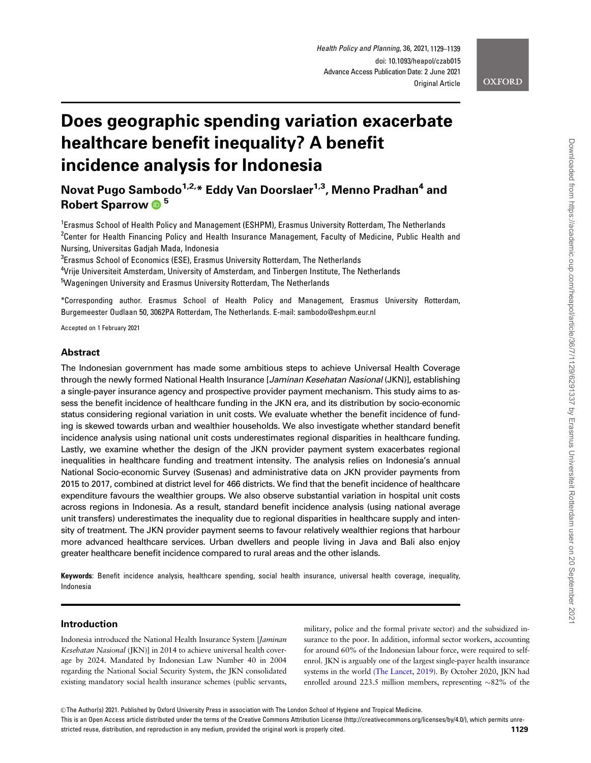# Does geographic spending variation exacerbate healthcare benefit inequality? A benefit incidence analysis for Indonesia

Novat Pugo Sambodo<sup>1,2,\*</sup> Eddy Van Doorslaer<sup>1,3</sup>, Menno Pradhan<sup>4</sup> and Robert Sparrow **D**<sup>5</sup>

<sup>1</sup> Erasmus School of Health Policy and Management (ESHPM), Erasmus University Rotterdam, The Netherlands <sup>2</sup>Center for Health Financing Policy and Health Insurance Management, Faculty of Medicine, Public Health and Nursing, Universitas Gadjah Mada, Indonesia

 $^3$ Erasmus School of Economics (ESE), Erasmus University Rotterdam, The Netherlands

4 Vrije Universiteit Amsterdam, University of Amsterdam, and Tinbergen Institute, The Netherlands

<sup>5</sup>Wageningen University and Erasmus University Rotterdam, The Netherlands

\*Corresponding author. Erasmus School of Health Policy and Management, Erasmus University Rotterdam, Burgemeester Oudlaan 50, 3062PA Rotterdam, The Netherlands. E-mail: sambodo@eshpm.eur.nl

Accepted on 1 February 2021

## Abstract

The Indonesian government has made some ambitious steps to achieve Universal Health Coverage through the newly formed National Health Insurance [Jaminan Kesehatan Nasional (JKN)], establishing a single-payer insurance agency and prospective provider payment mechanism. This study aims to assess the benefit incidence of healthcare funding in the JKN era, and its distribution by socio-economic status considering regional variation in unit costs. We evaluate whether the benefit incidence of funding is skewed towards urban and wealthier households. We also investigate whether standard benefit incidence analysis using national unit costs underestimates regional disparities in healthcare funding. Lastly, we examine whether the design of the JKN provider payment system exacerbates regional inequalities in healthcare funding and treatment intensity. The analysis relies on Indonesia's annual National Socio-economic Survey (Susenas) and administrative data on JKN provider payments from 2015 to 2017, combined at district level for 466 districts. We find that the benefit incidence of healthcare expenditure favours the wealthier groups. We also observe substantial variation in hospital unit costs across regions in Indonesia. As a result, standard benefit incidence analysis (using national average unit transfers) underestimates the inequality due to regional disparities in healthcare supply and intensity of treatment. The JKN provider payment seems to favour relatively wealthier regions that harbour more advanced healthcare services. Urban dwellers and people living in Java and Bali also enjoy greater healthcare benefit incidence compared to rural areas and the other islands.

Keywords: Benefit incidence analysis, healthcare spending, social health insurance, universal health coverage, inequality, Indonesia

#### Introduction

Indonesia introduced the National Health Insurance System [Jaminan Kesehatan Nasional (JKN)] in 2014 to achieve universal health coverage by 2024. Mandated by Indonesian Law Number 40 in 2004 regarding the National Social Security System, the JKN consolidated existing mandatory social health insurance schemes (public servants,

military, police and the formal private sector) and the subsidized insurance to the poor. In addition, informal sector workers, accounting for around 60% of the Indonesian labour force, were required to selfenrol. JKN is arguably one of the largest single-payer health insurance systems in the world [\(The Lancet, 2019](#page-10-0)). By October 2020, JKN had enrolled around 223.5 million members, representing  $\sim 82\%$  of the

This is an Open Access article distributed under the terms of the Creative Commons Attribution License (http://creativecommons.org/licenses/by/4.0/), which permits unrestricted reuse, distribution, and reproduction in any medium, provided the original work is properly cited. **1129**

<sup>©</sup> The Author(s) 2021. Published by Oxford University Press in association with The London School of Hygiene and Tropical Medicine.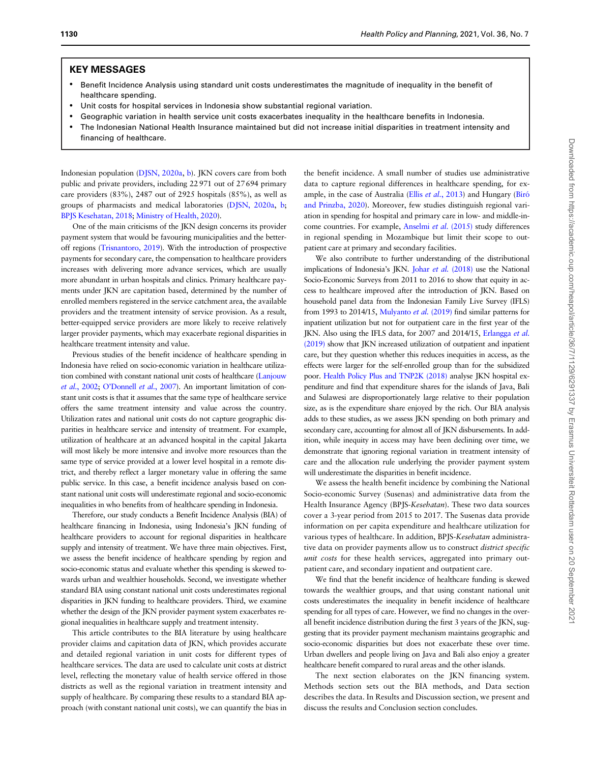## KEY MESSAGES

- Benefit Incidence Analysis using standard unit costs underestimates the magnitude of inequality in the benefit of healthcare spending.
- Unit costs for hospital services in Indonesia show substantial regional variation.
- Geographic variation in health service unit costs exacerbates inequality in the healthcare benefits in Indonesia.
- The Indonesian National Health Insurance maintained but did not increase initial disparities in treatment intensity and financing of healthcare.

Indonesian population ([DJSN, 2020a](#page-9-0), [b\)](#page-9-0). JKN covers care from both public and private providers, including 22971 out of 27694 primary care providers (83%), 2487 out of 2925 hospitals (85%), as well as groups of pharmacists and medical laboratories ([DJSN, 2020a](#page-9-0), [b;](#page-9-0) [BPJS Kesehatan, 2018;](#page-9-0) [Ministry of Health, 2020](#page-10-0)).

One of the main criticisms of the JKN design concerns its provider payment system that would be favouring municipalities and the betteroff regions [\(Trisnantoro, 2019\)](#page-10-0). With the introduction of prospective payments for secondary care, the compensation to healthcare providers increases with delivering more advance services, which are usually more abundant in urban hospitals and clinics. Primary healthcare payments under JKN are capitation based, determined by the number of enrolled members registered in the service catchment area, the available providers and the treatment intensity of service provision. As a result, better-equipped service providers are more likely to receive relatively larger provider payments, which may exacerbate regional disparities in healthcare treatment intensity and value.

Previous studies of the benefit incidence of healthcare spending in Indonesia have relied on socio-economic variation in healthcare utilization combined with constant national unit costs of healthcare ([Lanjouw](#page-9-0) et al.[, 2002;](#page-9-0) [O'Donnell](#page-10-0) et al., 2007). An important limitation of constant unit costs is that it assumes that the same type of healthcare service offers the same treatment intensity and value across the country. Utilization rates and national unit costs do not capture geographic disparities in healthcare service and intensity of treatment. For example, utilization of healthcare at an advanced hospital in the capital Jakarta will most likely be more intensive and involve more resources than the same type of service provided at a lower level hospital in a remote district, and thereby reflect a larger monetary value in offering the same public service. In this case, a benefit incidence analysis based on constant national unit costs will underestimate regional and socio-economic inequalities in who benefits from of healthcare spending in Indonesia.

Therefore, our study conducts a Benefit Incidence Analysis (BIA) of healthcare financing in Indonesia, using Indonesia's JKN funding of healthcare providers to account for regional disparities in healthcare supply and intensity of treatment. We have three main objectives. First, we assess the benefit incidence of healthcare spending by region and socio-economic status and evaluate whether this spending is skewed towards urban and wealthier households. Second, we investigate whether standard BIA using constant national unit costs underestimates regional disparities in JKN funding to healthcare providers. Third, we examine whether the design of the JKN provider payment system exacerbates regional inequalities in healthcare supply and treatment intensity.

This article contributes to the BIA literature by using healthcare provider claims and capitation data of JKN, which provides accurate and detailed regional variation in unit costs for different types of healthcare services. The data are used to calculate unit costs at district level, reflecting the monetary value of health service offered in those districts as well as the regional variation in treatment intensity and supply of healthcare. By comparing these results to a standard BIA approach (with constant national unit costs), we can quantify the bias in the benefit incidence. A small number of studies use administrative data to capture regional differences in healthcare spending, for ex-ample, in the case of Australia (Ellis et al.[, 2013\)](#page-9-0) and Hungary (Bíró [and Prinzba, 2020](#page-9-0)). Moreover, few studies distinguish regional variation in spending for hospital and primary care in low- and middle-income countries. For example, [Anselmi](#page-9-0) et al. (2015) study differences in regional spending in Mozambique but limit their scope to outpatient care at primary and secondary facilities.

We also contribute to further understanding of the distributional implications of Indonesia's JKN. Johar et al. [\(2018\)](#page-9-0) use the National Socio-Economic Surveys from 2011 to 2016 to show that equity in access to healthcare improved after the introduction of JKN. Based on household panel data from the Indonesian Family Live Survey (IFLS) from 1993 to 2014/15, [Mulyanto](#page-10-0) et al. (2019) find similar patterns for inpatient utilization but not for outpatient care in the first year of the JKN. Also using the IFLS data, for 2007 and 2014/15, [Erlangga](#page-9-0) et al. [\(2019\)](#page-9-0) show that JKN increased utilization of outpatient and inpatient care, but they question whether this reduces inequities in access, as the effects were larger for the self-enrolled group than for the subsidized poor. [Health Policy Plus and TNP2K \(2018\)](#page-9-0) analyse JKN hospital expenditure and find that expenditure shares for the islands of Java, Bali and Sulawesi are disproportionately large relative to their population size, as is the expenditure share enjoyed by the rich. Our BIA analysis adds to these studies, as we assess JKN spending on both primary and secondary care, accounting for almost all of JKN disbursements. In addition, while inequity in access may have been declining over time, we demonstrate that ignoring regional variation in treatment intensity of care and the allocation rule underlying the provider payment system will underestimate the disparities in benefit incidence.

We assess the health benefit incidence by combining the National Socio-economic Survey (Susenas) and administrative data from the Health Insurance Agency (BPJS-Kesehatan). These two data sources cover a 3-year period from 2015 to 2017. The Susenas data provide information on per capita expenditure and healthcare utilization for various types of healthcare. In addition, BPJS-Kesehatan administrative data on provider payments allow us to construct district specific unit costs for these health services, aggregated into primary outpatient care, and secondary inpatient and outpatient care.

We find that the benefit incidence of healthcare funding is skewed towards the wealthier groups, and that using constant national unit costs underestimates the inequality in benefit incidence of healthcare spending for all types of care. However, we find no changes in the overall benefit incidence distribution during the first 3 years of the JKN, suggesting that its provider payment mechanism maintains geographic and socio-economic disparities but does not exacerbate these over time. Urban dwellers and people living on Java and Bali also enjoy a greater healthcare benefit compared to rural areas and the other islands.

The next section elaborates on the JKN financing system. Methods section sets out the BIA methods, and Data section describes the data. In Results and Discussion section, we present and discuss the results and Conclusion section concludes.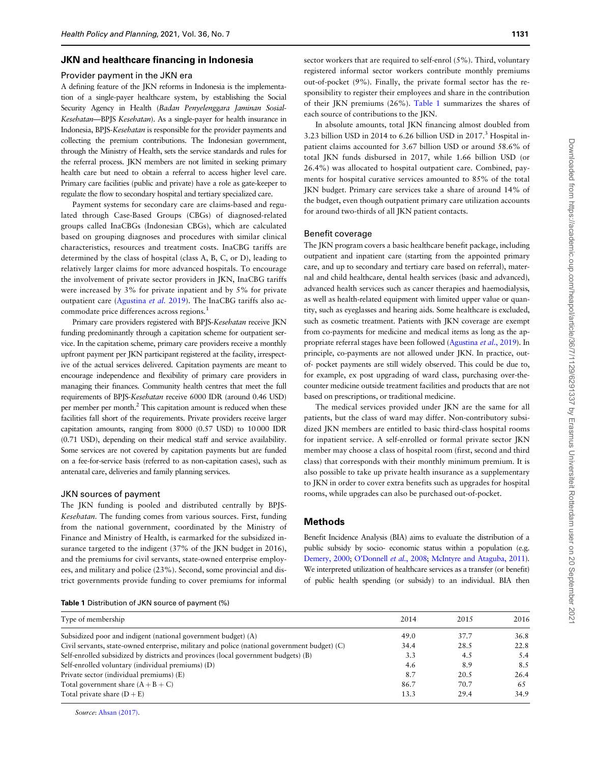### JKN and healthcare financing in Indonesia

#### Provider payment in the JKN era

A defining feature of the JKN reforms in Indonesia is the implementation of a single-payer healthcare system, by establishing the Social Security Agency in Health (Badan Penyelenggara Jaminan Sosial-Kesehatan—BPJS Kesehatan). As a single-payer for health insurance in Indonesia, BPJS-Kesehatan is responsible for the provider payments and collecting the premium contributions. The Indonesian government, through the Ministry of Health, sets the service standards and rules for the referral process. JKN members are not limited in seeking primary health care but need to obtain a referral to access higher level care. Primary care facilities (public and private) have a role as gate-keeper to regulate the flow to secondary hospital and tertiary specialized care.

Payment systems for secondary care are claims-based and regulated through Case-Based Groups (CBGs) of diagnosed-related groups called InaCBGs (Indonesian CBGs), which are calculated based on grouping diagnoses and procedures with similar clinical characteristics, resources and treatment costs. InaCBG tariffs are determined by the class of hospital (class A, B, C, or D), leading to relatively larger claims for more advanced hospitals. To encourage the involvement of private sector providers in JKN, InaCBG tariffs were increased by 3% for private inpatient and by 5% for private outpatient care [\(Agustina](#page-9-0) et al. 2019). The InaCBG tariffs also accommodate price differences across regions.<sup>1</sup>

Primary care providers registered with BPJS-Kesehatan receive JKN funding predominantly through a capitation scheme for outpatient service. In the capitation scheme, primary care providers receive a monthly upfront payment per JKN participant registered at the facility, irrespective of the actual services delivered. Capitation payments are meant to encourage independence and flexibility of primary care providers in managing their finances. Community health centres that meet the full requirements of BPJS-Kesehatan receive 6000 IDR (around 0.46 USD) per member per month.<sup>2</sup> This capitation amount is reduced when these facilities fall short of the requirements. Private providers receive larger capitation amounts, ranging from 8000 (0.57 USD) to 10 000 IDR (0.71 USD), depending on their medical staff and service availability. Some services are not covered by capitation payments but are funded on a fee-for-service basis (referred to as non-capitation cases), such as antenatal care, deliveries and family planning services.

#### JKN sources of payment

The JKN funding is pooled and distributed centrally by BPJS-Kesehatan. The funding comes from various sources. First, funding from the national government, coordinated by the Ministry of Finance and Ministry of Health, is earmarked for the subsidized insurance targeted to the indigent (37% of the JKN budget in 2016), and the premiums for civil servants, state-owned enterprise employees, and military and police (23%). Second, some provincial and district governments provide funding to cover premiums for informal

| <b>Table 1</b> Distribution of JKN source of payment (%) |  |
|----------------------------------------------------------|--|
|----------------------------------------------------------|--|

| Type of membership                                                                           | 2014 | 2015 | 2016 |
|----------------------------------------------------------------------------------------------|------|------|------|
| Subsidized poor and indigent (national government budget) (A)                                | 49.0 | 37.7 | 36.8 |
| Civil servants, state-owned enterprise, military and police (national government budget) (C) | 34.4 | 28.5 | 22.8 |
| Self-enrolled subsidized by districts and provinces (local government budgets) (B)           | 3.3  | 4.5  | 5.4  |
| Self-enrolled voluntary (individual premiums) (D)                                            | 4.6  | 8.9  | 8.5  |
| Private sector (individual premiums) (E)                                                     | 8.7  | 20.5 | 26.4 |
| Total government share $(A + B + C)$                                                         | 86.7 | 70.7 | 65   |
| Total private share $(D + E)$                                                                | 13.3 | 29.4 | 34.9 |
|                                                                                              |      |      |      |

Source: [Ahsan \(2017\).](#page-9-0)

sector workers that are required to self-enrol (5%). Third, voluntary registered informal sector workers contribute monthly premiums out-of-pocket (9%). Finally, the private formal sector has the responsibility to register their employees and share in the contribution of their JKN premiums (26%). Table 1 summarizes the shares of each source of contributions to the JKN.

In absolute amounts, total JKN financing almost doubled from 3.23 billion USD in 2014 to 6.26 billion USD in 2017.<sup>3</sup> Hospital inpatient claims accounted for 3.67 billion USD or around 58.6% of total JKN funds disbursed in 2017, while 1.66 billion USD (or 26.4%) was allocated to hospital outpatient care. Combined, payments for hospital curative services amounted to 85% of the total JKN budget. Primary care services take a share of around 14% of the budget, even though outpatient primary care utilization accounts for around two-thirds of all JKN patient contacts.

#### Benefit coverage

The JKN program covers a basic healthcare benefit package, including outpatient and inpatient care (starting from the appointed primary care, and up to secondary and tertiary care based on referral), maternal and child healthcare, dental health services (basic and advanced), advanced health services such as cancer therapies and haemodialysis, as well as health-related equipment with limited upper value or quantity, such as eyeglasses and hearing aids. Some healthcare is excluded, such as cosmetic treatment. Patients with JKN coverage are exempt from co-payments for medicine and medical items as long as the appropriate referral stages have been followed ([Agustina](#page-9-0) et al., 2019). In principle, co-payments are not allowed under JKN. In practice, outof- pocket payments are still widely observed. This could be due to, for example, ex post upgrading of ward class, purchasing over-thecounter medicine outside treatment facilities and products that are not based on prescriptions, or traditional medicine.

The medical services provided under JKN are the same for all patients, but the class of ward may differ. Non-contributory subsidized JKN members are entitled to basic third-class hospital rooms for inpatient service. A self-enrolled or formal private sector JKN member may choose a class of hospital room (first, second and third class) that corresponds with their monthly minimum premium. It is also possible to take up private health insurance as a supplementary to JKN in order to cover extra benefits such as upgrades for hospital rooms, while upgrades can also be purchased out-of-pocket.

## Methods

Benefit Incidence Analysis (BIA) aims to evaluate the distribution of a public subsidy by socio- economic status within a population (e.g. [Demery, 2000;](#page-9-0) [O'Donnell](#page-10-0) et al., 2008; [McIntyre and Ataguba, 2011](#page-10-0)). We interpreted utilization of healthcare services as a transfer (or benefit) of public health spending (or subsidy) to an individual. BIA then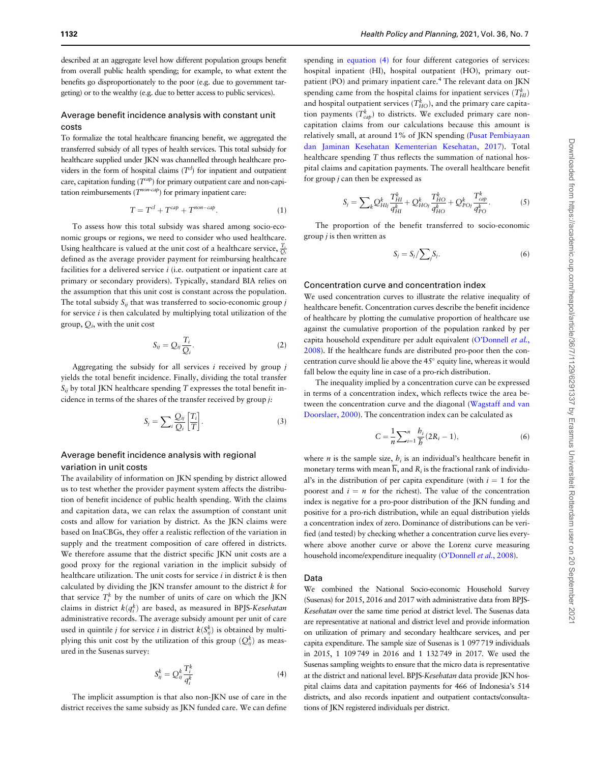<span id="page-3-0"></span>described at an aggregate level how different population groups benefit from overall public health spending; for example, to what extent the benefits go disproportionately to the poor (e.g. due to government targeting) or to the wealthy (e.g. due to better access to public services).

## Average benefit incidence analysis with constant unit costs

To formalize the total healthcare financing benefit, we aggregated the transferred subsidy of all types of health services. This total subsidy for healthcare supplied under JKN was channelled through healthcare providers in the form of hospital claims  $(T<sup>cl</sup>)$  for inpatient and outpatient care, capitation funding  $(T^{cap})$  for primary outpatient care and non-capitation reimbursements  $(T^{non-cap})$  for primary inpatient care:

$$
T = T^{cl} + T^{cap} + T^{non-cap}.
$$
 (1)

To assess how this total subsidy was shared among socio-economic groups or regions, we need to consider who used healthcare. Using healthcare is valued at the unit cost of a healthcare service,  $\frac{T_i}{Q_i}$ defined as the average provider payment for reimbursing healthcare facilities for a delivered service  $i$  (i.e. outpatient or inpatient care at primary or secondary providers). Typically, standard BIA relies on the assumption that this unit cost is constant across the population. The total subsidy  $S_{ij}$  that was transferred to socio-economic group j for service  $i$  is then calculated by multiplying total utilization of the group,  $Q_i$ , with the unit cost

$$
S_{ij} = Q_{ij} \frac{T_i}{Q_i}.
$$
 (2)

Aggregating the subsidy for all services  $i$  received by group  $j$ yields the total benefit incidence. Finally, dividing the total transfer  $S_{ii}$  by total JKN healthcare spending T expresses the total benefit incidence in terms of the shares of the transfer received by group j:

$$
S_j = \sum_{i} \frac{Q_{ij}}{Q_i} \left[ \frac{T_i}{T} \right].
$$
 (3)

## Average benefit incidence analysis with regional variation in unit costs

The availability of information on JKN spending by district allowed us to test whether the provider payment system affects the distribution of benefit incidence of public health spending. With the claims and capitation data, we can relax the assumption of constant unit costs and allow for variation by district. As the JKN claims were based on InaCBGs, they offer a realistic reflection of the variation in supply and the treatment composition of care offered in districts. We therefore assume that the district specific JKN unit costs are a good proxy for the regional variation in the implicit subsidy of healthcare utilization. The unit costs for service  $i$  in district  $k$  is then calculated by dividing the JKN transfer amount to the district k for that service  $T_i^k$  by the number of units of care on which the JKN claims in district  $k(q_i^k)$  are based, as measured in BPJS-Kesehatan administrative records. The average subsidy amount per unit of care used in quintile *j* for service *i* in district  $k(S_{ij}^k)$  is obtained by multiplying this unit cost by the utilization of this group  $(Q_{ij}^k)$  as measured in the Susenas survey:

$$
S_{ij}^k = Q_{ij}^k \frac{T_i^k}{q_i^k} \tag{4}
$$

The implicit assumption is that also non-JKN use of care in the district receives the same subsidy as JKN funded care. We can define

spending in equation (4) for four different categories of services: hospital inpatient (HI), hospital outpatient (HO), primary outpatient (PO) and primary inpatient care.<sup>4</sup> The relevant data on JKN spending came from the hospital claims for inpatient services  $(T_{HI}^k)$ and hospital outpatient services  $(T_{HO}^k)$ , and the primary care capitation payments  $(T_{cap}^k)$  to districts. We excluded primary care noncapitation claims from our calculations because this amount is relatively small, at around 1% of JKN spending [\(Pusat Pembiayaan](#page-10-0) [dan Jaminan Kesehatan Kementerian Kesehatan, 2017\)](#page-10-0). Total healthcare spending T thus reflects the summation of national hospital claims and capitation payments. The overall healthcare benefit for group  $j$  can then be expressed as

$$
S_j = \sum_{k} Q_{Hlj}^k \frac{T_{HI}^k}{q_{HI}^k} + Q_{H0j}^k \frac{T_{HO}^k}{q_{HO}^k} + Q_{P0j}^k \frac{T_{cap}^k}{q_{PO}^k}.
$$
 (5)

The proportion of the benefit transferred to socio-economic group  $j$  is then written as

$$
S_j = S_j / \sum_j S_j. \tag{6}
$$

#### Concentration curve and concentration index

We used concentration curves to illustrate the relative inequality of healthcare benefit. Concentration curves describe the benefit incidence of healthcare by plotting the cumulative proportion of healthcare use against the cumulative proportion of the population ranked by per capita household expenditure per adult equivalent [\(O'Donnell](#page-10-0) et al., [2008](#page-10-0)). If the healthcare funds are distributed pro-poor then the concentration curve should lie above the  $45^\circ$  equity line, whereas it would fall below the equity line in case of a pro-rich distribution.

The inequality implied by a concentration curve can be expressed in terms of a concentration index, which reflects twice the area between the concentration curve and the diagonal [\(Wagstaff and van](#page-10-0) [Doorslaer, 2000](#page-10-0)). The concentration index can be calculated as

$$
C = \frac{1}{n} \sum_{i=1}^{n} \frac{b_i}{\overline{b}} (2R_i - 1),
$$
 (6)

where *n* is the sample size,  $h_i$  is an individual's healthcare benefit in monetary terms with mean  $\overline{h}$ , and  $R_i$  is the fractional rank of individual's in the distribution of per capita expenditure (with  $i = 1$  for the poorest and  $i = n$  for the richest). The value of the concentration index is negative for a pro-poor distribution of the JKN funding and positive for a pro-rich distribution, while an equal distribution yields a concentration index of zero. Dominance of distributions can be verified (and tested) by checking whether a concentration curve lies everywhere above another curve or above the Lorenz curve measuring household income/expenditure inequality [\(O'Donnell](#page-10-0) et al., 2008).

## Data

We combined the National Socio-economic Household Survey (Susenas) for 2015, 2016 and 2017 with administrative data from BPJS-Kesehatan over the same time period at district level. The Susenas data are representative at national and district level and provide information on utilization of primary and secondary healthcare services, and per capita expenditure. The sample size of Susenas is 1 097719 individuals in 2015, 1 109749 in 2016 and 1 132749 in 2017. We used the Susenas sampling weights to ensure that the micro data is representative at the district and national level. BPJS-Kesehatan data provide JKN hospital claims data and capitation payments for 466 of Indonesia's 514 districts, and also records inpatient and outpatient contacts/consultations of JKN registered individuals per district.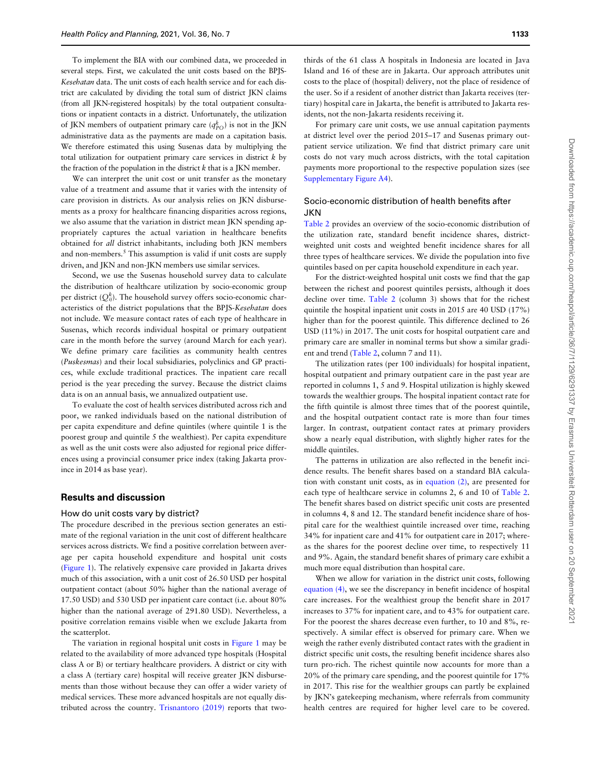To implement the BIA with our combined data, we proceeded in several steps. First, we calculated the unit costs based on the BPJS-Kesehatan data. The unit costs of each health service and for each district are calculated by dividing the total sum of district JKN claims (from all JKN-registered hospitals) by the total outpatient consultations or inpatient contacts in a district. Unfortunately, the utilization of JKN members of outpatient primary care  $(q_{PO}^k)$  is not in the JKN administrative data as the payments are made on a capitation basis. We therefore estimated this using Susenas data by multiplying the total utilization for outpatient primary care services in district  $k$  by the fraction of the population in the district  $k$  that is a JKN member.

We can interpret the unit cost or unit transfer as the monetary value of a treatment and assume that it varies with the intensity of care provision in districts. As our analysis relies on JKN disbursements as a proxy for healthcare financing disparities across regions, we also assume that the variation in district mean JKN spending appropriately captures the actual variation in healthcare benefits obtained for all district inhabitants, including both JKN members and non-members.<sup>5</sup> This assumption is valid if unit costs are supply driven, and JKN and non-JKN members use similar services.

Second, we use the Susenas household survey data to calculate the distribution of healthcare utilization by socio-economic group per district ( $Q_{ij}^k$ ). The household survey offers socio-economic characteristics of the district populations that the BPJS-Kesehatan does not include. We measure contact rates of each type of healthcare in Susenas, which records individual hospital or primary outpatient care in the month before the survey (around March for each year). We define primary care facilities as community health centres (Puskesmas) and their local subsidiaries, polyclinics and GP practices, while exclude traditional practices. The inpatient care recall period is the year preceding the survey. Because the district claims data is on an annual basis, we annualized outpatient use.

To evaluate the cost of health services distributed across rich and poor, we ranked individuals based on the national distribution of per capita expenditure and define quintiles (where quintile 1 is the poorest group and quintile 5 the wealthiest). Per capita expenditure as well as the unit costs were also adjusted for regional price differences using a provincial consumer price index (taking Jakarta province in 2014 as base year).

#### Results and discussion

#### How do unit costs vary by district?

The procedure described in the previous section generates an estimate of the regional variation in the unit cost of different healthcare services across districts. We find a positive correlation between average per capita household expenditure and hospital unit costs ([Figure 1\)](#page-5-0). The relatively expensive care provided in Jakarta drives much of this association, with a unit cost of 26.50 USD per hospital outpatient contact (about 50% higher than the national average of 17.50 USD) and 530 USD per inpatient care contact (i.e. about 80% higher than the national average of 291.80 USD). Nevertheless, a positive correlation remains visible when we exclude Jakarta from the scatterplot.

The variation in regional hospital unit costs in [Figure 1](#page-5-0) may be related to the availability of more advanced type hospitals (Hospital class A or B) or tertiary healthcare providers. A district or city with a class A (tertiary care) hospital will receive greater JKN disbursements than those without because they can offer a wider variety of medical services. These more advanced hospitals are not equally distributed across the country. [Trisnantoro \(2019\)](#page-10-0) reports that two-

thirds of the 61 class A hospitals in Indonesia are located in Java Island and 16 of these are in Jakarta. Our approach attributes unit costs to the place of (hospital) delivery, not the place of residence of the user. So if a resident of another district than Jakarta receives (tertiary) hospital care in Jakarta, the benefit is attributed to Jakarta residents, not the non-Jakarta residents receiving it.

For primary care unit costs, we use annual capitation payments at district level over the period 2015–17 and Susenas primary outpatient service utilization. We find that district primary care unit costs do not vary much across districts, with the total capitation payments more proportional to the respective population sizes (see [Supplementary Figure A4](https://academic.oup.com/heapol/article-lookup/doi/10.1093/heapol/czab015#supplementary-data)).

## Socio-economic distribution of health benefits after **JKN**

[Table 2](#page-6-0) provides an overview of the socio-economic distribution of the utilization rate, standard benefit incidence shares, districtweighted unit costs and weighted benefit incidence shares for all three types of healthcare services. We divide the population into five quintiles based on per capita household expenditure in each year.

For the district-weighted hospital unit costs we find that the gap between the richest and poorest quintiles persists, although it does decline over time. [Table 2](#page-6-0) (column 3) shows that for the richest quintile the hospital inpatient unit costs in 2015 are 40 USD (17%) higher than for the poorest quintile. This difference declined to 26 USD (11%) in 2017. The unit costs for hospital outpatient care and primary care are smaller in nominal terms but show a similar gradient and trend [\(Table 2](#page-6-0), column 7 and 11).

The utilization rates (per 100 individuals) for hospital inpatient, hospital outpatient and primary outpatient care in the past year are reported in columns 1, 5 and 9. Hospital utilization is highly skewed towards the wealthier groups. The hospital inpatient contact rate for the fifth quintile is almost three times that of the poorest quintile, and the hospital outpatient contact rate is more than four times larger. In contrast, outpatient contact rates at primary providers show a nearly equal distribution, with slightly higher rates for the middle quintiles.

The patterns in utilization are also reflected in the benefit incidence results. The benefit shares based on a standard BIA calculation with constant unit costs, as in [equation \(2\)](#page-3-0), are presented for each type of healthcare service in columns 2, 6 and 10 of [Table 2.](#page-6-0) The benefit shares based on district specific unit costs are presented in columns 4, 8 and 12. The standard benefit incidence share of hospital care for the wealthiest quintile increased over time, reaching 34% for inpatient care and 41% for outpatient care in 2017; whereas the shares for the poorest decline over time, to respectively 11 and 9%. Again, the standard benefit shares of primary care exhibit a much more equal distribution than hospital care.

When we allow for variation in the district unit costs, following [equation \(4\)](#page-3-0), we see the discrepancy in benefit incidence of hospital care increases. For the wealthiest group the benefit share in 2017 increases to 37% for inpatient care, and to 43% for outpatient care. For the poorest the shares decrease even further, to 10 and 8%, respectively. A similar effect is observed for primary care. When we weigh the rather evenly distributed contact rates with the gradient in district specific unit costs, the resulting benefit incidence shares also turn pro-rich. The richest quintile now accounts for more than a 20% of the primary care spending, and the poorest quintile for 17% in 2017. This rise for the wealthier groups can partly be explained by JKN's gatekeeping mechanism, where referrals from community health centres are required for higher level care to be covered.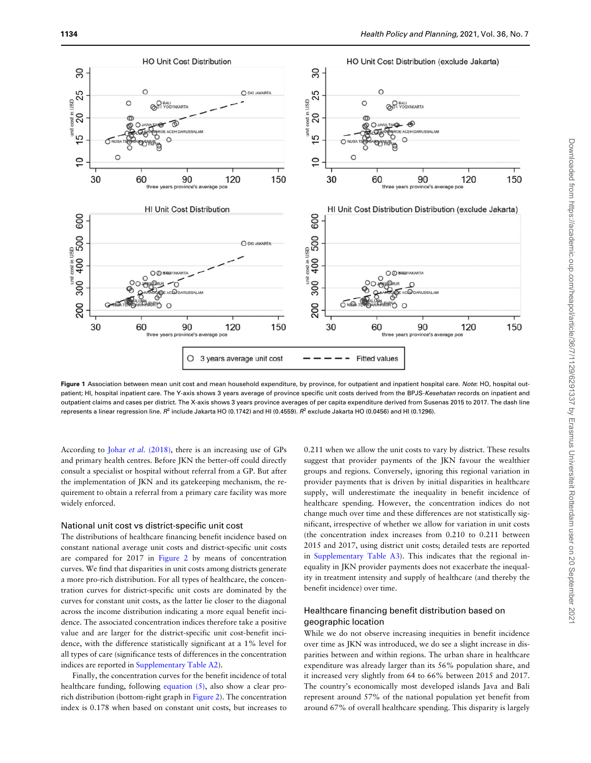<span id="page-5-0"></span>

Figure 1 Association between mean unit cost and mean household expenditure, by province, for outpatient and inpatient hospital care. Note: HO, hospital outpatient; HI, hospital inpatient care. The Y-axis shows 3 years average of province specific unit costs derived from the BPJS-Kesehatan records on inpatient and outpatient claims and cases per district. The X-axis shows 3 years province averages of per capita expenditure derived from Susenas 2015 to 2017. The dash line represents a linear regression line. R<sup>2</sup> include Jakarta HO (0.1742) and HI (0.4559). R<sup>2</sup> exclude Jakarta HO (0.0456) and HI (0.1296).

According to Johar et al. [\(2018\),](#page-9-0) there is an increasing use of GPs and primary health centres. Before JKN the better-off could directly consult a specialist or hospital without referral from a GP. But after the implementation of JKN and its gatekeeping mechanism, the requirement to obtain a referral from a primary care facility was more widely enforced.

#### National unit cost vs district-specific unit cost

The distributions of healthcare financing benefit incidence based on constant national average unit costs and district-specific unit costs are compared for 2017 in [Figure 2](#page-7-0) by means of concentration curves. We find that disparities in unit costs among districts generate a more pro-rich distribution. For all types of healthcare, the concentration curves for district-specific unit costs are dominated by the curves for constant unit costs, as the latter lie closer to the diagonal across the income distribution indicating a more equal benefit incidence. The associated concentration indices therefore take a positive value and are larger for the district-specific unit cost-benefit incidence, with the difference statistically significant at a 1% level for all types of care (significance tests of differences in the concentration indices are reported in [Supplementary Table A2](https://academic.oup.com/heapol/article-lookup/doi/10.1093/heapol/czab015#supplementary-data)).

Finally, the concentration curves for the benefit incidence of total healthcare funding, following equation  $(5)$ , also show a clear prorich distribution (bottom-right graph in [Figure 2\)](#page-7-0). The concentration index is 0.178 when based on constant unit costs, but increases to

0.211 when we allow the unit costs to vary by district. These results suggest that provider payments of the JKN favour the wealthier groups and regions. Conversely, ignoring this regional variation in provider payments that is driven by initial disparities in healthcare supply, will underestimate the inequality in benefit incidence of healthcare spending. However, the concentration indices do not change much over time and these differences are not statistically significant, irrespective of whether we allow for variation in unit costs (the concentration index increases from 0.210 to 0.211 between 2015 and 2017, using district unit costs; detailed tests are reported in [Supplementary Table A3](https://academic.oup.com/heapol/article-lookup/doi/10.1093/heapol/czab015#supplementary-data)). This indicates that the regional inequality in JKN provider payments does not exacerbate the inequality in treatment intensity and supply of healthcare (and thereby the benefit incidence) over time.

# Healthcare financing benefit distribution based on geographic location

While we do not observe increasing inequities in benefit incidence over time as JKN was introduced, we do see a slight increase in disparities between and within regions. The urban share in healthcare expenditure was already larger than its 56% population share, and it increased very slightly from 64 to 66% between 2015 and 2017. The country's economically most developed islands Java and Bali represent around 57% of the national population yet benefit from around 67% of overall healthcare spending. This disparity is largely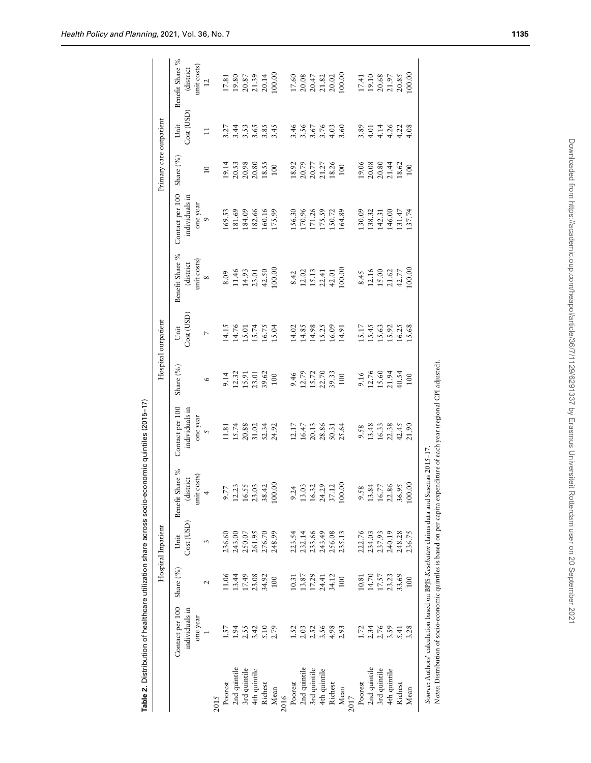<span id="page-6-0"></span>

|              |                                                                                     |                                                                 | Hospital Inpatient |                                                                           |                                           |                                            | Hospital outpatient                       |                                                                                   |                                                          | Primary care outpatient                                                            |                                          |                                                                                             |
|--------------|-------------------------------------------------------------------------------------|-----------------------------------------------------------------|--------------------|---------------------------------------------------------------------------|-------------------------------------------|--------------------------------------------|-------------------------------------------|-----------------------------------------------------------------------------------|----------------------------------------------------------|------------------------------------------------------------------------------------|------------------------------------------|---------------------------------------------------------------------------------------------|
|              | Contact per 100<br>individuals in                                                   | Share (%)                                                       | Cost (USD)<br>Unit | Benefit Share %<br>(district                                              | Contact per 100<br>individuals in         | Share (%)                                  | Cost (USD)<br>Unit                        | Benefit Share %<br>(district                                                      | Contact per 100<br>individuals in                        | Share (%)                                                                          | Cost (USD)<br>Unit                       | Benefit Share %<br>(district                                                                |
|              | one year                                                                            | $\mathbf{\sim}$                                                 | 3                  | unit costs)<br>4                                                          | one year $\,$ $\,$                        | $\circ$                                    | $\overline{a}$                            | unit costs)<br>$\infty$                                                           | one year<br>9                                            | $\overline{10}$                                                                    |                                          | unit costs)<br>12                                                                           |
| 2015         |                                                                                     |                                                                 |                    |                                                                           |                                           |                                            |                                           |                                                                                   |                                                          |                                                                                    |                                          |                                                                                             |
| Poorest      | 1.57                                                                                | 11.06                                                           | 236.60             | 9.77                                                                      | 11.81                                     |                                            |                                           |                                                                                   |                                                          |                                                                                    |                                          |                                                                                             |
| 2nd quintile | 1.94                                                                                | 13.44                                                           | 243.00             |                                                                           | 15.74<br>20.88<br>31.02<br>52.34<br>24.92 | $9.14$<br>12.32<br>15.91<br>15.91<br>39.62 | 14.15<br>14.76<br>15.74<br>16.75<br>15.04 | $\begin{array}{c} 8.09 \\ 11.46 \\ 14.93 \\ 14.31 \\ 42.50 \\ 100.00 \end{array}$ | 169.53<br>181.69<br>184.09<br>182.66                     | $\begin{array}{l} 19.14 \\ 20.53 \\ 20.98 \\ 20.80 \\ 18.55 \\ \end{array}$        | 21422684<br>242684                       | $\begin{array}{l} 17.81 \\ 19.80 \\ 20.87 \\ 21.39 \\ 20.14 \\ 100.00 \end{array}$          |
| 3rd quintile | 2.55                                                                                | 17.49                                                           | 250.07             |                                                                           |                                           |                                            |                                           |                                                                                   |                                                          |                                                                                    |                                          |                                                                                             |
| 4th quintile | 3.42                                                                                | 23.08                                                           | 261.95             | $\begin{array}{c} 12.23 \\ 16.55 \\ 23.03 \\ 38.42 \\ 100.00 \end{array}$ |                                           |                                            |                                           |                                                                                   |                                                          |                                                                                    |                                          |                                                                                             |
| Richest      | 5.10                                                                                | 34.92                                                           | 276.70<br>248.99   |                                                                           |                                           |                                            |                                           |                                                                                   | 160.16<br>175.99                                         |                                                                                    |                                          |                                                                                             |
| Mean         | 2.79                                                                                | $100\,$                                                         |                    |                                                                           |                                           |                                            |                                           |                                                                                   |                                                          |                                                                                    |                                          |                                                                                             |
| 2016         |                                                                                     |                                                                 |                    |                                                                           |                                           |                                            |                                           |                                                                                   |                                                          |                                                                                    |                                          |                                                                                             |
| Poorest      | 1.52                                                                                |                                                                 |                    | 9.24                                                                      |                                           |                                            |                                           |                                                                                   |                                                          |                                                                                    |                                          |                                                                                             |
| 2nd quintile |                                                                                     |                                                                 | 223.54<br>232.14   | $\mathfrak{L}$<br>13.0                                                    |                                           |                                            |                                           |                                                                                   |                                                          |                                                                                    |                                          |                                                                                             |
| 3rd quintile | 2.03                                                                                | $\begin{array}{c} 10.31 \\ 13.87 \\ 17.29 \\ 24.41 \end{array}$ | 233.66             | 16.32                                                                     | $12.17$<br>$16.47$<br>$20.13$             | 9.46<br>12.79<br>15.72<br>22.70<br>39.33   | 14.02<br>14.85<br>14.98<br>15.25<br>14.91 |                                                                                   |                                                          | $\begin{array}{c} 18.92 \\ 20.79 \\ 20.77 \\ 21.27 \\ 18.26 \\ 190 \\ \end{array}$ |                                          |                                                                                             |
| 4th quintile | 3.56                                                                                |                                                                 | 243.49             | 24.29                                                                     |                                           |                                            |                                           |                                                                                   |                                                          |                                                                                    |                                          |                                                                                             |
| Richest      | 4.98                                                                                | 34.12                                                           | 256.08<br>235.13   | 37.12                                                                     |                                           |                                            |                                           |                                                                                   |                                                          |                                                                                    |                                          |                                                                                             |
| Mean         | 2.93                                                                                | $100\,$                                                         |                    | 100.00                                                                    | 28.86<br>50.31<br>25.64                   |                                            |                                           | $\begin{array}{c} 8.42 \\ 12.02 \\ 15.13 \\ 22.41 \\ 42.01 \\ 100.00 \end{array}$ | 156.30<br>170.96<br>171.26<br>175.59<br>150.72<br>164.89 |                                                                                    | $456760$<br>3.557636                     | $\begin{array}{l} 17.60 \\ 20.08 \\ 20.47 \\ 21.82 \\ 21.02 \\ 20.02 \\ 100.00 \end{array}$ |
| 2017         |                                                                                     |                                                                 |                    |                                                                           |                                           |                                            |                                           |                                                                                   |                                                          |                                                                                    |                                          |                                                                                             |
| Poorest      | 1.72                                                                                | 10.81                                                           | 222.76             | 9.58                                                                      | 9.58<br>13.48                             | 9.16<br>12.76<br>15.60<br>10.54<br>40.54   | 15.17<br>15.45<br>15.63<br>16.25<br>15.68 | $\begin{array}{c} 8.45 \\ 12.16 \\ 15.00 \\ 21.62 \\ 42.77 \\ 00.00 \end{array}$  | 130.09<br>138.32<br>142.31                               | $\begin{array}{c} 19.06 \\ 20.08 \\ 20.80 \\ 21.44 \\ 18.62 \\ 100 \\ \end{array}$ |                                          | $\begin{array}{l} 17.41 \\ 19.10 \\ 20.68 \\ 21.97 \\ 20.85 \\ 100.00 \end{array}$          |
| 2nd quintile | 2.34<br>2.76<br>3.59                                                                | $14.70$<br>$17.57$                                              | 234.03             | $13.84$<br>$16.77$                                                        |                                           |                                            |                                           |                                                                                   |                                                          |                                                                                    |                                          |                                                                                             |
| 3rd quintile |                                                                                     |                                                                 | 237.93             |                                                                           |                                           |                                            |                                           |                                                                                   |                                                          |                                                                                    |                                          |                                                                                             |
| 4th quintile |                                                                                     | 23.23                                                           | 240.19             | 22.86<br>36.95                                                            | $16.33$<br>$22.38$<br>$42.45$             |                                            |                                           |                                                                                   | 146.00                                                   |                                                                                    | $3.514$<br>$3.514$<br>$4.413$<br>$4.413$ |                                                                                             |
| Richest      | 5.41                                                                                | 33.69                                                           | 248.28             |                                                                           |                                           |                                            |                                           |                                                                                   | $131.47$<br>$137.74$                                     |                                                                                    |                                          |                                                                                             |
| Mean         | 3.28                                                                                | 100                                                             | 236.75             | 100.                                                                      | 21.90                                     |                                            |                                           |                                                                                   |                                                          |                                                                                    |                                          |                                                                                             |
|              | Source: Authors' calculation based on BPS-Kesehatan claims data and Susenas 2015-17 |                                                                 |                    |                                                                           |                                           |                                            |                                           |                                                                                   |                                                          |                                                                                    |                                          |                                                                                             |

Table 2. Distribution of healthcare utilization share across socio-economic quintiles (2015-17) Table 2. Distribution of healthcare utilization share across socio-economic quintiles (2015–17)

*Source:* Authors' calculation based on BPJS-*Kesehatan* claims data and Susenas 2015–17.<br>Not*es*: Distribution of socio-economic quintiles is based on per capita expenditure of each year (regional CPI adjusted). Notes: Distribution of socio-economic quintiles is based on per capita expenditure of each year (regional CPI adjusted).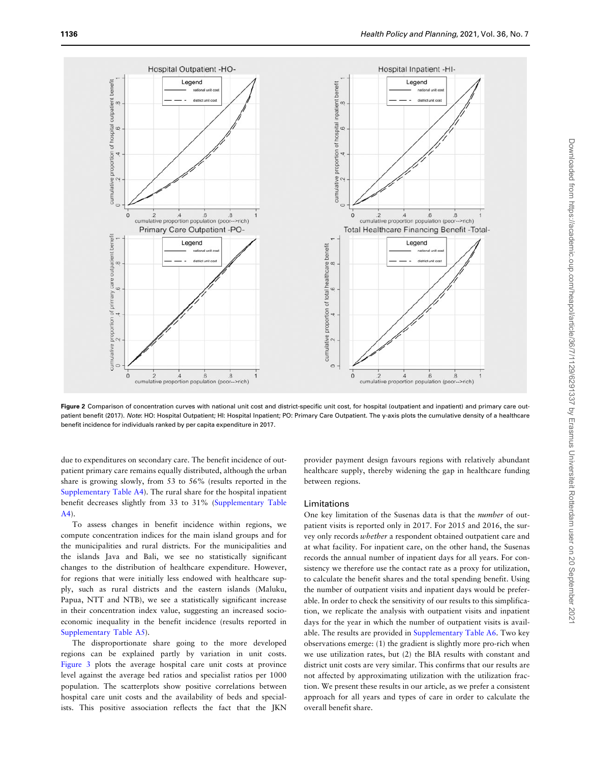<span id="page-7-0"></span>

Figure 2 Comparison of concentration curves with national unit cost and district-specific unit cost, for hospital (outpatient and inpatient) and primary care outpatient benefit (2017). Note: HO: Hospital Outpatient; HI: Hospital Inpatient; PO: Primary Care Outpatient. The y-axis plots the cumulative density of a healthcare benefit incidence for individuals ranked by per capita expenditure in 2017.

due to expenditures on secondary care. The benefit incidence of outpatient primary care remains equally distributed, although the urban share is growing slowly, from 53 to 56% (results reported in the [Supplementary Table A4\)](https://academic.oup.com/heapol/article-lookup/doi/10.1093/heapol/czab015#supplementary-data). The rural share for the hospital inpatient benefit decreases slightly from 33 to 31% [\(Supplementary Table](https://academic.oup.com/heapol/article-lookup/doi/10.1093/heapol/czab015#supplementary-data) [A4](https://academic.oup.com/heapol/article-lookup/doi/10.1093/heapol/czab015#supplementary-data)).

To assess changes in benefit incidence within regions, we compute concentration indices for the main island groups and for the municipalities and rural districts. For the municipalities and the islands Java and Bali, we see no statistically significant changes to the distribution of healthcare expenditure. However, for regions that were initially less endowed with healthcare supply, such as rural districts and the eastern islands (Maluku, Papua, NTT and NTB), we see a statistically significant increase in their concentration index value, suggesting an increased socioeconomic inequality in the benefit incidence (results reported in [Supplementary Table A5](https://academic.oup.com/heapol/article-lookup/doi/10.1093/heapol/czab015#supplementary-data)).

The disproportionate share going to the more developed regions can be explained partly by variation in unit costs. [Figure 3](#page-8-0) plots the average hospital care unit costs at province level against the average bed ratios and specialist ratios per 1000 population. The scatterplots show positive correlations between hospital care unit costs and the availability of beds and specialists. This positive association reflects the fact that the JKN

provider payment design favours regions with relatively abundant healthcare supply, thereby widening the gap in healthcare funding between regions.

#### Limitations

One key limitation of the Susenas data is that the number of outpatient visits is reported only in 2017. For 2015 and 2016, the survey only records whether a respondent obtained outpatient care and at what facility. For inpatient care, on the other hand, the Susenas records the annual number of inpatient days for all years. For consistency we therefore use the contact rate as a proxy for utilization, to calculate the benefit shares and the total spending benefit. Using the number of outpatient visits and inpatient days would be preferable. In order to check the sensitivity of our results to this simplification, we replicate the analysis with outpatient visits and inpatient days for the year in which the number of outpatient visits is available. The results are provided in [Supplementary Table A6](https://academic.oup.com/heapol/article-lookup/doi/10.1093/heapol/czab015#supplementary-data). Two key observations emerge: (1) the gradient is slightly more pro-rich when we use utilization rates, but (2) the BIA results with constant and district unit costs are very similar. This confirms that our results are not affected by approximating utilization with the utilization fraction. We present these results in our article, as we prefer a consistent approach for all years and types of care in order to calculate the overall benefit share.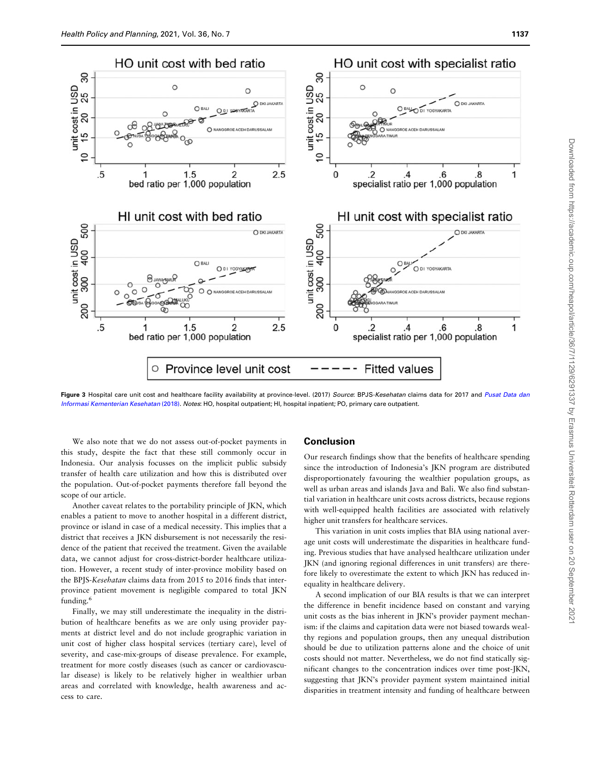<span id="page-8-0"></span>

Figure 3 Hospital care unit cost and healthcare facility availability at province-level. (2017) Source: BPJS-Kesehatan claims data for 2017 and [Pusat Data dan](#page-10-0) [Informasi Kementerian Kesehatan](#page-10-0) (2018). Notes: HO, hospital outpatient; HI, hospital inpatient; PO, primary care outpatient.

We also note that we do not assess out-of-pocket payments in this study, despite the fact that these still commonly occur in Indonesia. Our analysis focusses on the implicit public subsidy transfer of health care utilization and how this is distributed over the population. Out-of-pocket payments therefore fall beyond the scope of our article.

Another caveat relates to the portability principle of JKN, which enables a patient to move to another hospital in a different district, province or island in case of a medical necessity. This implies that a district that receives a JKN disbursement is not necessarily the residence of the patient that received the treatment. Given the available data, we cannot adjust for cross-district-border healthcare utilization. However, a recent study of inter-province mobility based on the BPJS-Kesehatan claims data from 2015 to 2016 finds that interprovince patient movement is negligible compared to total JKN funding. $<sup>6</sup>$ </sup>

Finally, we may still underestimate the inequality in the distribution of healthcare benefits as we are only using provider payments at district level and do not include geographic variation in unit cost of higher class hospital services (tertiary care), level of severity, and case-mix-groups of disease prevalence. For example, treatment for more costly diseases (such as cancer or cardiovascular disease) is likely to be relatively higher in wealthier urban areas and correlated with knowledge, health awareness and access to care.

#### **Conclusion**

Our research findings show that the benefits of healthcare spending since the introduction of Indonesia's JKN program are distributed disproportionately favouring the wealthier population groups, as well as urban areas and islands Java and Bali. We also find substantial variation in healthcare unit costs across districts, because regions with well-equipped health facilities are associated with relatively higher unit transfers for healthcare services.

This variation in unit costs implies that BIA using national average unit costs will underestimate the disparities in healthcare funding. Previous studies that have analysed healthcare utilization under JKN (and ignoring regional differences in unit transfers) are therefore likely to overestimate the extent to which JKN has reduced inequality in healthcare delivery.

A second implication of our BIA results is that we can interpret the difference in benefit incidence based on constant and varying unit costs as the bias inherent in JKN's provider payment mechanism: if the claims and capitation data were not biased towards wealthy regions and population groups, then any unequal distribution should be due to utilization patterns alone and the choice of unit costs should not matter. Nevertheless, we do not find statically significant changes to the concentration indices over time post-JKN, suggesting that JKN's provider payment system maintained initial disparities in treatment intensity and funding of healthcare between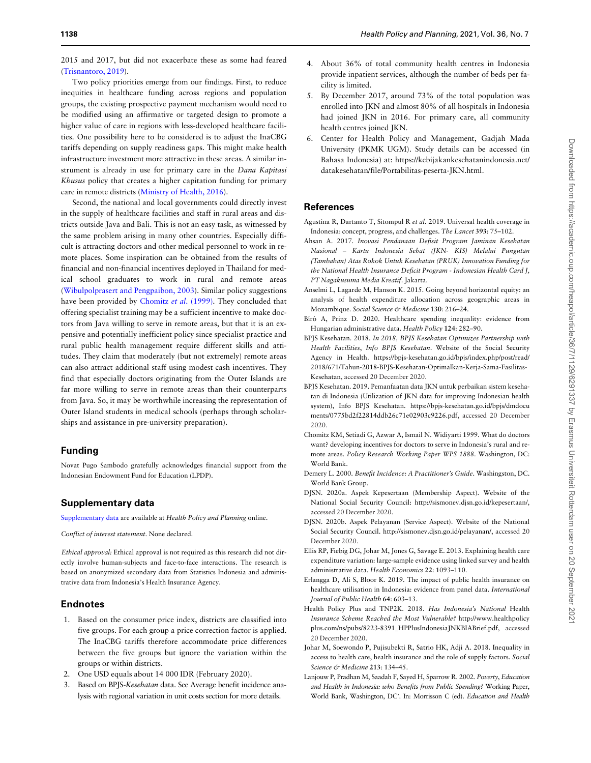<span id="page-9-0"></span>2015 and 2017, but did not exacerbate these as some had feared ([Trisnantoro, 2019\)](#page-10-0).

Two policy priorities emerge from our findings. First, to reduce inequities in healthcare funding across regions and population groups, the existing prospective payment mechanism would need to be modified using an affirmative or targeted design to promote a higher value of care in regions with less-developed healthcare facilities. One possibility here to be considered is to adjust the InaCBG tariffs depending on supply readiness gaps. This might make health infrastructure investment more attractive in these areas. A similar instrument is already in use for primary care in the Dana Kapitasi Khusus policy that creates a higher capitation funding for primary care in remote districts ([Ministry of Health, 2016\)](#page-10-0).

Second, the national and local governments could directly invest in the supply of healthcare facilities and staff in rural areas and districts outside Java and Bali. This is not an easy task, as witnessed by the same problem arising in many other countries. Especially difficult is attracting doctors and other medical personnel to work in remote places. Some inspiration can be obtained from the results of financial and non-financial incentives deployed in Thailand for medical school graduates to work in rural and remote areas ([Wibulpolprasert and Pengpaibon, 2003](#page-10-0)). Similar policy suggestions have been provided by Chomitz et al. (1999). They concluded that offering specialist training may be a sufficient incentive to make doctors from Java willing to serve in remote areas, but that it is an expensive and potentially inefficient policy since specialist practice and rural public health management require different skills and attitudes. They claim that moderately (but not extremely) remote areas can also attract additional staff using modest cash incentives. They find that especially doctors originating from the Outer Islands are far more willing to serve in remote areas than their counterparts from Java. So, it may be worthwhile increasing the representation of Outer Island students in medical schools (perhaps through scholarships and assistance in pre-university preparation).

# Funding

Novat Pugo Sambodo gratefully acknowledges financial support from the Indonesian Endowment Fund for Education (LPDP).

# Supplementary data

[Supplementary data](https://academic.oup.com/heapol/article-lookup/doi/10.1093/heapol/czab015#supplementary-data) are available at Health Policy and Planning online.

Conflict of interest statement. None declared.

Ethical approval: Ethical approval is not required as this research did not directly involve human-subjects and face-to-face interactions. The research is based on anonymized secondary data from Statistics Indonesia and administrative data from Indonesia's Health Insurance Agency.

## Endnotes

- 1. Based on the consumer price index, districts are classified into five groups. For each group a price correction factor is applied. The InaCBG tariffs therefore accommodate price differences between the five groups but ignore the variation within the groups or within districts.
- 2. One USD equals about 14 000 IDR (February 2020).
- 3. Based on BPJS-Kesehatan data. See Average benefit incidence analysis with regional variation in unit costs section for more details.
- 4. About 36% of total community health centres in Indonesia provide inpatient services, although the number of beds per facility is limited.
- 5. By December 2017, around 73% of the total population was enrolled into JKN and almost 80% of all hospitals in Indonesia had joined JKN in 2016. For primary care, all community health centres joined JKN.
- 6. Center for Health Policy and Management, Gadjah Mada University (PKMK UGM). Study details can be accessed (in Bahasa Indonesia) at: [https://kebijakankesehatanindonesia.net/](https://kebijakankesehatanindonesia.net/datakesehatan/file/Portabilitas-peserta-JKN.html) [datakesehatan/file/Portabilitas-peserta-JKN.html.](https://kebijakankesehatanindonesia.net/datakesehatan/file/Portabilitas-peserta-JKN.html)

## References

- Agustina R, Dartanto T, Sitompul R et al. 2019. Universal health coverage in Indonesia: concept, progress, and challenges. The Lancet 393: 75–102.
- Ahsan A. 2017. Inovasi Pendanaan Defisit Program Jaminan Kesehatan Nasional – Kartu Indonesia Sehat (JKN- KIS) Melalui Pungutan (Tambahan) Atas Rokok Untuk Kesehatan (PRUK) Innovation Funding for the National Health Insurance Deficit Program - Indonesian Health Card J, PT Nagakusuma Media Kreatif. Jakarta.
- Anselmi L, Lagarde M, Hanson K. 2015. Going beyond horizontal equity: an analysis of health expenditure allocation across geographic areas in Mozambique. Social Science & Medicine 130: 216-24.
- Bíró A, Prinz D. 2020. Healthcare spending inequality: evidence from Hungarian administrative data. Health Policy 124: 282–90.
- BPJS Kesehatan. 2018. In 2018, BPJS Kesehatan Optimizes Partnership with Health Facilities, Info BPJS Kesehatan. Website of the Social Security Agency in Health. [https://bpjs-kesehatan.go.id/bpjs/index.php/post/read/](https://bpjs-kesehatan.go.id/bpjs/index.php/post/read/2018/671/Tahun-2018-BPJS-Kesehatan-Optimalkan-Kerja-Sama-Fasilitas-Kesehatan) [2018/671/Tahun-2018-BPJS-Kesehatan-Optimalkan-Kerja-Sama-Fasilitas-](https://bpjs-kesehatan.go.id/bpjs/index.php/post/read/2018/671/Tahun-2018-BPJS-Kesehatan-Optimalkan-Kerja-Sama-Fasilitas-Kesehatan)[Kesehatan](https://bpjs-kesehatan.go.id/bpjs/index.php/post/read/2018/671/Tahun-2018-BPJS-Kesehatan-Optimalkan-Kerja-Sama-Fasilitas-Kesehatan), accessed 20 December 2020.
- BPJS Kesehatan. 2019. Pemanfaatan data JKN untuk perbaikan sistem kesehatan di Indonesia (Utilization of JKN data for improving Indonesian health system), Info BPJS Kesehatan. [https://bpjs-kesehatan.go.id/bpjs/dmdocu](https://bpjs-kesehatan.go.id/bpjs/dmdocuments/0775bd2f22814ddb26c71e02903c9226.pdf) [ments/0775bd2f22814ddb26c71e02903c9226.pdf](https://bpjs-kesehatan.go.id/bpjs/dmdocuments/0775bd2f22814ddb26c71e02903c9226.pdf), accessed 20 December 2020.
- Chomitz KM, Setiadi G, Azwar A, Ismail N. Widiyarti 1999. What do doctors want? developing incentives for doctors to serve in Indonesia's rural and remote areas. Policy Research Working Paper WPS 1888. Washington, DC: World Bank.
- Demery L. 2000. Benefit Incidence: A Practitioner's Guide. Washingston, DC. World Bank Group.
- DJSN. 2020a. Aspek Kepesertaan (Membership Aspect). Website of the National Social Security Council:<http://sismonev.djsn.go.id/kepesertaan/>, accessed 20 December 2020.
- DJSN. 2020b. Aspek Pelayanan (Service Aspect). Website of the National Social Security Council.<http://sismonev.djsn.go.id/pelayanan/>, accessed 20 December 2020.
- Ellis RP, Fiebig DG, Johar M, Jones G, Savage E. 2013. Explaining health care expenditure variation: large-sample evidence using linked survey and health administrative data. Health Economics 22: 1093–110.
- Erlangga D, Ali S, Bloor K. 2019. The impact of public health insurance on healthcare utilisation in Indonesia: evidence from panel data. International Journal of Public Health 64: 603–13.
- Health Policy Plus and TNP2K. 2018. Has Indonesia's National Health Insurance Scheme Reached the Most Vulnerable? [http://www.healthpolicy](http://www.healthpolicyplus.com/ns/pubs/8223-8391_HPPlusIndonesiaJNKBIABrief.pdf) [plus.com/ns/pubs/8223-8391\\_HPPlusIndonesiaJNKBIABrief.pdf](http://www.healthpolicyplus.com/ns/pubs/8223-8391_HPPlusIndonesiaJNKBIABrief.pdf), accessed 20 December 2020.
- Johar M, Soewondo P, Pujisubekti R, Satrio HK, Adji A. 2018. Inequality in access to health care, health insurance and the role of supply factors. Social Science & Medicine 213: 134-45.
- Lanjouw P, Pradhan M, Saadah F, Sayed H, Sparrow R. 2002. Poverty, Education and Health in Indonesia: who Benefits from Public Spending? Working Paper, World Bank, Washington, DC'. In: Morrisson C (ed). Education and Health